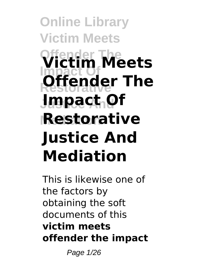**Online Library Victim Meets Offender The Victim Meets Impact Of Offender The Justice And Impact Of Mediation Restorative Justice And Mediation**

This is likewise one of the factors by obtaining the soft documents of this **victim meets offender the impact**

Page 1/26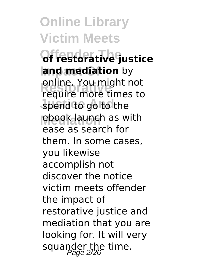**Online Library Victim Meets Offender The of restorative justice land mediation** by **Produite** more times to spend to go to the **ebook launch as with** require more times to ease as search for them. In some cases, you likewise accomplish not discover the notice victim meets offender the impact of restorative justice and mediation that you are looking for. It will very squander the time.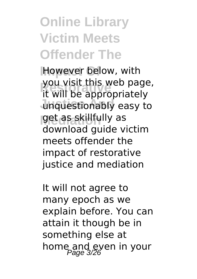### **Online Library Victim Meets Offender The**

**However below, with Restorative** it will be appropriately unquestionably easy to **Mediation** get as skillfully as you visit this web page, download guide victim meets offender the impact of restorative justice and mediation

It will not agree to many epoch as we explain before. You can attain it though be in something else at home and even in your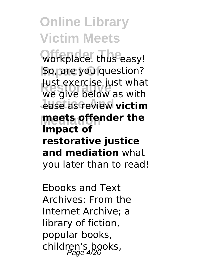**Offender The** workplace. thus easy! **So, are you question? Restorative** we give below as with *<u>ease</u>* as review victim **Mediation meets offender the** Just exercise just what **impact of restorative justice and mediation** what you later than to read!

Ebooks and Text Archives: From the Internet Archive; a library of fiction, popular books, children's books,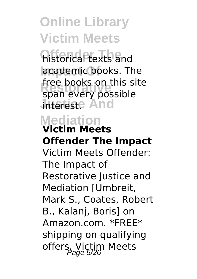**historical texts and** academic books. The **Research Street Books** on this street **Jhtereste And** free books on this site

#### **Mediation Victim Meets**

# **Offender The Impact**

Victim Meets Offender: The Impact of Restorative Justice and Mediation [Umbreit, Mark S., Coates, Robert B., Kalanj, Boris] on Amazon.com. \*FREE\* shipping on qualifying offers. Victim Meets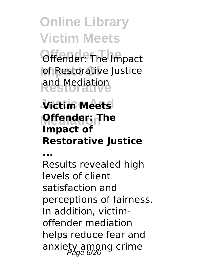**Offender: The Impact lof Restorative Justice Restorative** and Mediation

### **Victim Meets Mediation Offender: The Impact of Restorative Justice**

**...**

Results revealed high levels of client satisfaction and perceptions of fairness. In addition, victimoffender mediation helps reduce fear and anxiety among crime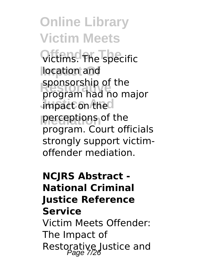**Online Library Victim Meets Offender The** victims. The specific location and **Restorative** program had no major **impact on the l perceptions** of the sponsorship of the program. Court officials strongly support victimoffender mediation.

### **NCJRS Abstract - National Criminal Justice Reference Service**

Victim Meets Offender: The Impact of Restorative Justice and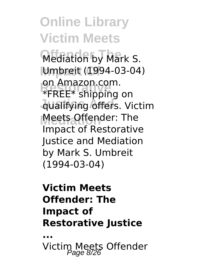**Online Library Victim Meets Mediation by Mark S. Impact Of** Umbreit (1994-03-04) on Amazon.com.<br>\*FREE\* shipping on **Justice And** qualifying offers. Victim **Mediation** Meets Offender: The on Amazon.com. Impact of Restorative Justice and Mediation by Mark S. Umbreit (1994-03-04)

#### **Victim Meets Offender: The Impact of Restorative Justice**

**...**

Victim Meets Offender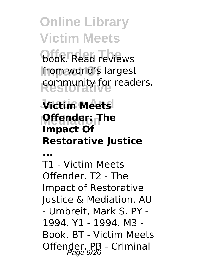**Online Library Victim Meets book.** Read reviews **Impact Of** from world's largest

community for readers.

### **Victim Meets Mediation Offender: The Impact Of Restorative Justice**

**...**

T1 - Victim Meets Offender. T2 - The Impact of Restorative Justice & Mediation. AU - Umbreit, Mark S. PY - 1994. Y1 - 1994. M3 - Book. BT - Victim Meets Offender. PB - Criminal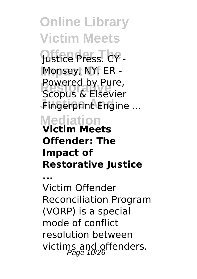**Online Library Victim Meets Offender The** Justice Press. CY - **Impact Of** Monsey, NY. ER - **Restorative** Scopus & Elsevier **Fingerprint Engine ... Mediation** Powered by Pure, **Victim Meets Offender: The Impact of Restorative Justice ...** Victim Offender Reconciliation Program (VORP) is a special mode of conflict

resolution between victims and offenders.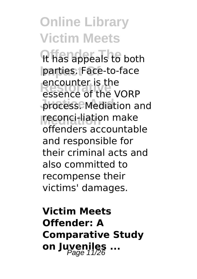**Online Library Victim Meets** *It has appeals to both* **Impact Of** parties. Face-to-face encounter is the<br>essence of the VORP process. Mediation and **Mediation** reconci-liation make encounter is the offenders accountable and responsible for their criminal acts and also committed to recompense their victims' damages.

**Victim Meets Offender: A Comparative Study on Juveniles ...**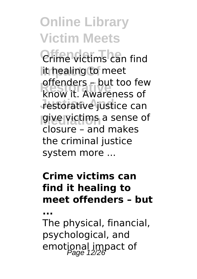**Online Library Victim Meets** *Orime victims can find* lit healing to meet **Restorative** know it. Awareness of restorative justice can **g**ive victims a sense of offenders – but too few closure – and makes the criminal justice system more ...

#### **Crime victims can find it healing to meet offenders – but**

**...**

The physical, financial, psychological, and emotional impact of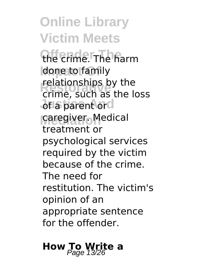**Online Library Victim Meets Offender The** the crime. The harm **done to family Restorative** crime, such as the loss of a parent ord **Mediation** caregiver. Medical relationships by the treatment or psychological services required by the victim because of the crime. The need for restitution. The victim's opinion of an appropriate sentence for the offender.

**How To Write a**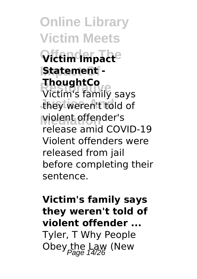**Online Library Victim Meets Offender The Victim Impact Impact Of Statement - Redigence**<br>Victim's family says they weren't told of **Mediation** violent offender's **ThoughtCo** release amid COVID-19 Violent offenders were released from jail before completing their sentence.

#### **Victim's family says they weren't told of violent offender ...**

Tyler, T Why People Obey the Law (New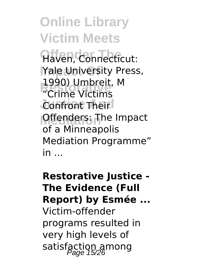**Online Library Victim Meets Affen, Connecticut: Yale University Press, Restorative** "Crime Victims **Confront Their Offenders: The Impact** 1990) Umbreit, M of a Minneapolis Mediation Programme" in ...

**Restorative Justice - The Evidence (Full Report) by Esmée ...** Victim-offender programs resulted in very high levels of satisfaction among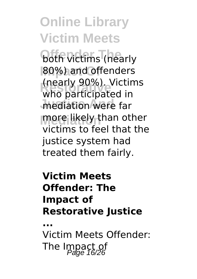*<u>Both victims</u>* (nearly **80%) and offenders Restorative** who participated in mediation were far **more likely than other** (nearly 90%). Victims victims to feel that the justice system had treated them fairly.

#### **Victim Meets Offender: The Impact of Restorative Justice**

**...**

Victim Meets Offender: The Impact of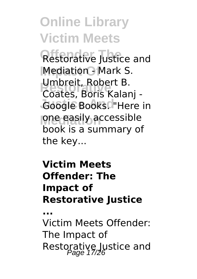**Restorative Justice and Mediation - Mark S. Umbreit, Robert B.<br>Coates, Boris Kalar** Google Books. "Here in **Mediation** one easily accessible Coates, Boris Kalanj book is a summary of the key...

#### **Victim Meets Offender: The Impact of Restorative Justice**

**...**

Victim Meets Offender: The Impact of Restorative Justice and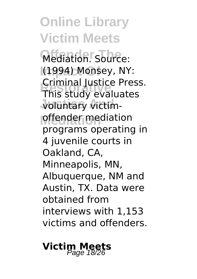**Online Library Victim Meets** Mediation. Source: **Impact Of** (1994) Monsey, NY: **Restorative** This study evaluates **Justice And** voluntary victim**offender** mediation Criminal Justice Press. programs operating in 4 juvenile courts in Oakland, CA, Minneapolis, MN, Albuquerque, NM and Austin, TX. Data were obtained from interviews with 1,153 victims and offenders.

### **Victim Meets** Page 18/26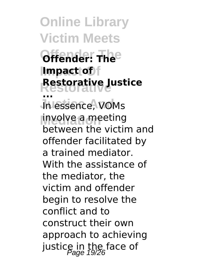**Online Library Victim Meets Offender The Offender: The Impact Of Impact of Restorative Restorative Justice Jn essence, VOMs Mediation** involve a meeting **...** between the victim and offender facilitated by a trained mediator. With the assistance of the mediator, the victim and offender begin to resolve the conflict and to construct their own approach to achieving justice in the face of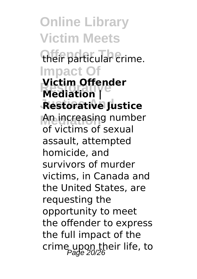**Online Library Victim Meets** their particular crime. **Impact Of Restorative Mediation | Justice And Restorative Justice Mediation** An increasing number **Victim Offender** of victims of sexual assault, attempted homicide, and survivors of murder victims, in Canada and the United States, are requesting the opportunity to meet the offender to express the full impact of the crime upon their life, to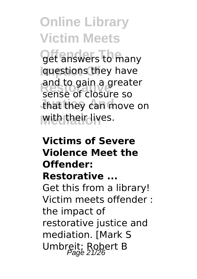**Off answers to many Impact Of** questions they have **Restorative** sense of closure so that they can move on **With their lives.** and to gain a greater

### **Victims of Severe Violence Meet the Offender: Restorative ...** Get this from a library! Victim meets offender : the impact of restorative justice and mediation. [Mark S Umbreit; Robert B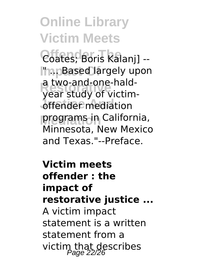**Online Library Victim Meets Offender The** Coates; Boris Kalanj] -- **Impact Of** " ... Based largely upon a two-and-one-naid-<br>year study of victim-**J**ffender mediation **Mediation** programs in California, a two-and-one-hald-Minnesota, New Mexico and Texas."--Preface.

**Victim meets offender : the impact of restorative justice ...** A victim impact statement is a written statement from a victim that describes<br>Page 22/26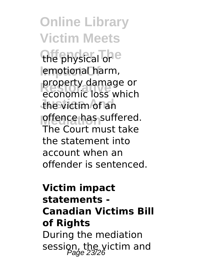**Online Library Victim Meets** the physical or<sup>e</sup> emotional harm, **Restorative** economic loss which the victim of an **offence has suffered.** property damage or The Court must take the statement into account when an offender is sentenced.

### **Victim impact statements - Canadian Victims Bill of Rights** During the mediation session, the victim and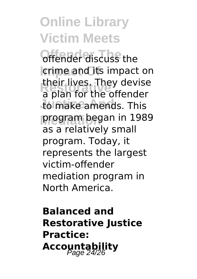**Offender discuss the** crime and its impact on **Restorative** a plan for the offender to make amends. This **Mediation** program began in 1989 their lives. They devise as a relatively small program. Today, it represents the largest victim-offender mediation program in North America.

**Balanced and Restorative Justice Practice: Accountability** Page 24/26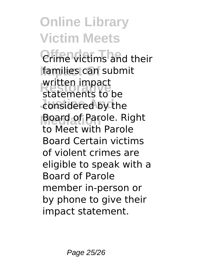**Online Library Victim Meets** *Orime victims and their* families can submit written impact<br>statements to be considered by the **Mediation** Board of Parole. Right written impact to Meet with Parole Board Certain victims of violent crimes are eligible to speak with a Board of Parole member in-person or by phone to give their impact statement.